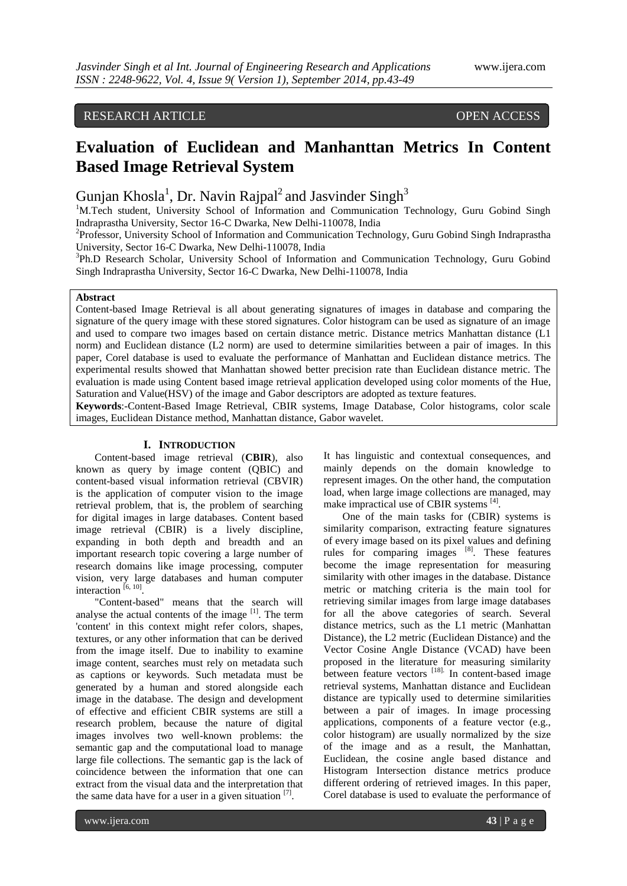# RESEARCH ARTICLE OPEN ACCESS

# **Evaluation of Euclidean and Manhanttan Metrics In Content Based Image Retrieval System**

Gunjan Khosla<sup>1</sup>, Dr. Navin Rajpal<sup>2</sup> and Jasvinder Singh<sup>3</sup>

<sup>1</sup>M.Tech student, University School of Information and Communication Technology, Guru Gobind Singh Indraprastha University, Sector 16-C Dwarka, New Delhi-110078, India

<sup>2</sup>Professor, University School of Information and Communication Technology, Guru Gobind Singh Indraprastha University, Sector 16-C Dwarka, New Delhi-110078, India

<sup>3</sup>Ph.D Research Scholar, University School of Information and Communication Technology, Guru Gobind Singh Indraprastha University, Sector 16-C Dwarka, New Delhi-110078, India

### **Abstract**

Content-based Image Retrieval is all about generating signatures of images in database and comparing the signature of the query image with these stored signatures. Color histogram can be used as signature of an image and used to compare two images based on certain distance metric. Distance metrics Manhattan distance (L1 norm) and Euclidean distance (L2 norm) are used to determine similarities between a pair of images. In this paper, Corel database is used to evaluate the performance of Manhattan and Euclidean distance metrics. The experimental results showed that Manhattan showed better precision rate than Euclidean distance metric. The evaluation is made using Content based image retrieval application developed using color moments of the Hue, Saturation and Value(HSV) of the image and Gabor descriptors are adopted as texture features.

**Keywords**:-Content-Based Image Retrieval, CBIR systems, Image Database, Color histograms, color scale images, Euclidean Distance method, Manhattan distance, Gabor wavelet.

## **I. INTRODUCTION**

Content-based image retrieval (**CBIR**), also known as query by image content (QBIC) and content-based visual information retrieval (CBVIR) is the application of computer vision to the image retrieval problem, that is, the problem of searching for digital images in large databases. Content based image retrieval (CBIR) is a lively discipline, expanding in both depth and breadth and an important research topic covering a large number of research domains like image processing, computer vision, very large databases and human computer interaction  $[6, 10]$ .

"Content-based" means that the search will analyse the actual contents of the image  $[1]$ . The term 'content' in this context might refer colors, shapes, textures, or any other information that can be derived from the image itself. Due to inability to examine image content, searches must rely on metadata such as captions or keywords. Such metadata must be generated by a human and stored alongside each image in the database. The design and development of effective and efficient CBIR systems are still a research problem, because the nature of digital images involves two well-known problems: the semantic gap and the computational load to manage large file collections. The semantic gap is the lack of coincidence between the information that one can extract from the visual data and the interpretation that the same data have for a user in a given situation  $[7]$ .

It has linguistic and contextual consequences, and mainly depends on the domain knowledge to represent images. On the other hand, the computation load, when large image collections are managed, may make impractical use of CBIR systems [4].

One of the main tasks for (CBIR) systems is similarity comparison, extracting feature signatures of every image based on its pixel values and defining rules for comparing images  $[8]$ . These features become the image representation for measuring similarity with other images in the database. Distance metric or matching criteria is the main tool for retrieving similar images from large image databases for all the above categories of search. Several distance metrics, such as the L1 metric (Manhattan Distance), the L2 metric (Euclidean Distance) and the Vector Cosine Angle Distance (VCAD) have been proposed in the literature for measuring similarity between feature vectors [18]. In content-based image retrieval systems, Manhattan distance and Euclidean distance are typically used to determine similarities between a pair of images. In image processing applications, components of a feature vector (e.g., color histogram) are usually normalized by the size of the image and as a result, the Manhattan, Euclidean, the cosine angle based distance and Histogram Intersection distance metrics produce different ordering of retrieved images. In this paper, Corel database is used to evaluate the performance of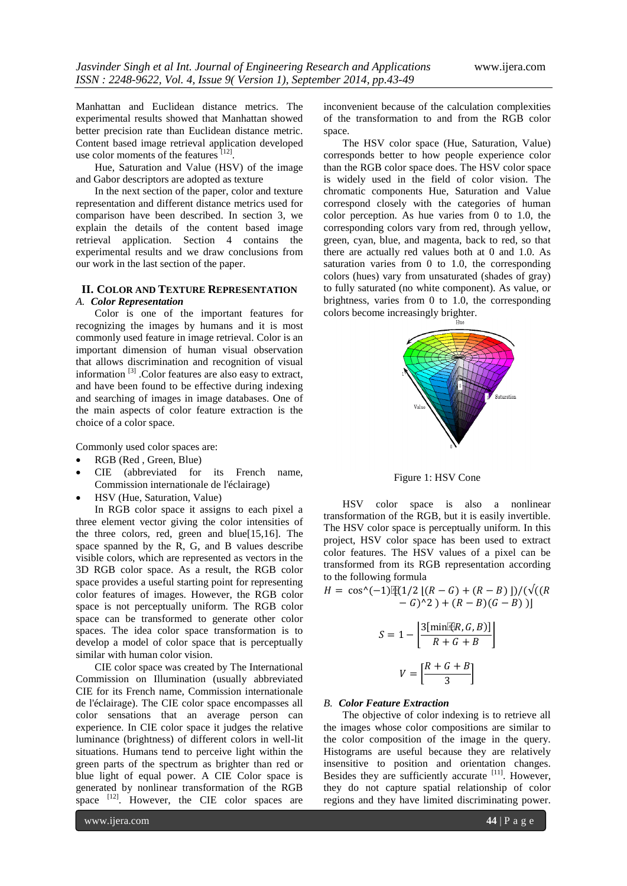Manhattan and Euclidean distance metrics. The experimental results showed that Manhattan showed better precision rate than Euclidean distance metric. Content based image retrieval application developed use color moments of the features [12].

Hue, Saturation and Value (HSV) of the image and Gabor descriptors are adopted as texture

In the next section of the paper, color and texture representation and different distance metrics used for comparison have been described. In section 3, we explain the details of the content based image retrieval application. Section 4 contains the experimental results and we draw conclusions from our work in the last section of the paper.

#### **II. COLOR AND TEXTURE REPRESENTATION**

#### *A. Color Representation*

Color is one of the important features for recognizing the images by humans and it is most commonly used feature in image retrieval. Color is an important dimension of human visual observation that allows discrimination and recognition of visual information [3] .Color features are also easy to extract, and have been found to be effective during indexing and searching of images in image databases. One of the main aspects of color feature extraction is the choice of a color space.

Commonly used color spaces are:

- RGB (Red , Green, Blue)
- CIE (abbreviated for its French name, Commission internationale de l'éclairage)
- HSV (Hue, Saturation, Value)

In RGB color space it assigns to each pixel a three element vector giving the color intensities of the three colors, red, green and blue[15,16]. The space spanned by the R, G, and B values describe visible colors, which are represented as vectors in the 3D RGB color space. As a result, the RGB color space provides a useful starting point for representing color features of images. However, the RGB color space is not perceptually uniform. The RGB color space can be transformed to generate other color spaces. The idea color space transformation is to develop a model of color space that is perceptually similar with human color vision.

CIE color space was created by The International Commission on Illumination (usually abbreviated CIE for its French name, Commission internationale de l'éclairage). The CIE color space encompasses all color sensations that an average person can experience. In CIE color space it judges the relative [luminance](http://en.wikipedia.org/wiki/Luminance_(relative)) (brightness) of different colors in well-lit situations. Humans tend to perceive light within the green parts of the spectrum as brighter than red or blue light of equal power. A CIE Color space is generated by nonlinear transformation of the RGB space  $[12]$ . However, the CIE color spaces are of the transformation to and from the RGB color space. The HSV color space (Hue, Saturation, Value)

inconvenient because of the calculation complexities

corresponds better to how people experience color than the RGB color space does. The HSV color space is widely used in the field of color vision. The chromatic components Hue, Saturation and Value correspond closely with the categories of human color perception. As hue varies from 0 to 1.0, the corresponding colors vary from red, through yellow, green, cyan, blue, and magenta, back to red, so that there are actually red values both at 0 and 1.0. As saturation varies from 0 to 1.0, the corresponding colors (hues) vary from unsaturated (shades of gray) to fully saturated (no white component). As value, or brightness, varies from 0 to 1.0, the corresponding colors become increasingly brighter.



Figure 1: HSV Cone

HSV color space is also a nonlinear transformation of the RGB, but it is easily invertible. The HSV color space is perceptually uniform. In this project, HSV color space has been used to extract color features. The HSV values of a pixel can be transformed from its RGB representation according to the following formula

$$
H = \cos^{\wedge}(-1)\left[\frac{\pi}{4}\left(1/2\left[\left(R-G\right) + \left(R-B\right)\right]\right) / \left(\sqrt{\left(\left(R-G\right) - G\right)^2}\right) + \left(R-B\right)\left(G-B\right)\right)\right]
$$

$$
S = 1 - \left[ \frac{3[\min[\mathcal{R}, G, B)]}{R + G + B} \right]
$$

$$
V = \left[ \frac{R + G + B}{3} \right]
$$

#### *B. Color Feature Extraction*

The objective of color indexing is to retrieve all the images whose color compositions are similar to the color composition of the image in the query. Histograms are useful because they are relatively insensitive to position and orientation changes. Besides they are sufficiently accurate [11]. However, they do not capture spatial relationship of color regions and they have limited discriminating power.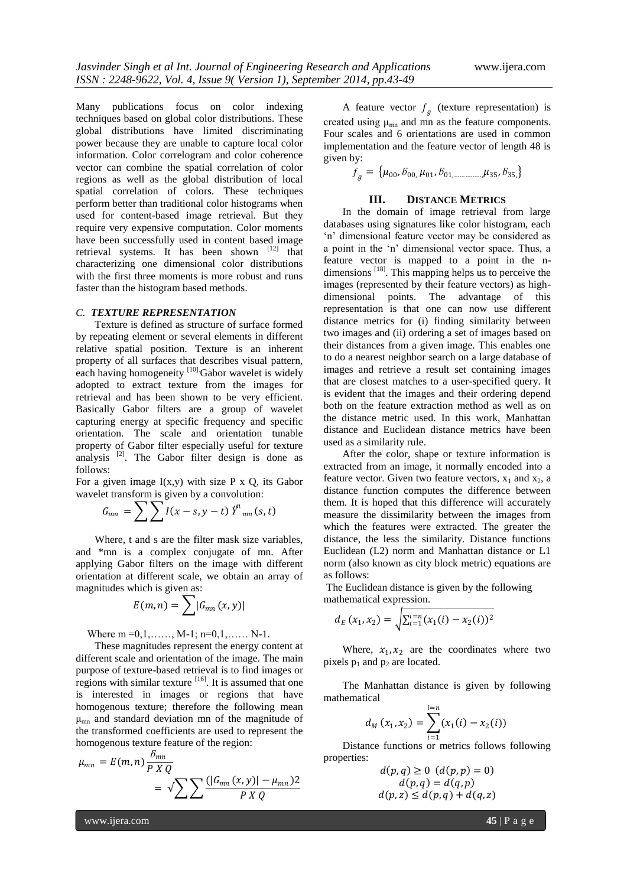Many publications focus on color indexing techniques based on global color distributions. These global distributions have limited discriminating power because they are unable to capture local color information. Color correlogram and color coherence vector can combine the spatial correlation of color regions as well as the global distribution of local spatial correlation of colors. These techniques perform better than traditional color histograms when used for content-based image retrieval. But they require very expensive computation. Color moments have been successfully used in content based image retrieval systems. It has been shown  $[12]$  that characterizing one dimensional color distributions with the first three moments is more robust and runs faster than the histogram based methods.

#### *C. TEXTURE REPRESENTATION*

Texture is defined as structure of surface formed by repeating element or several elements in different relative spatial position. Texture is an inherent property of all surfaces that describes visual pattern, each having homogeneity [10] Gabor wavelet is widely adopted to extract texture from the images for retrieval and has been shown to be very efficient. Basically Gabor filters are a group of wavelet capturing energy at specific frequency and specific orientation. The scale and orientation tunable property of Gabor filter especially useful for texture analysis  $^{[2]}$ . The Gabor filter design is done as follows:

For a given image  $I(x,y)$  with size P x Q, its Gabor wavelet transform is given by a convolution:

$$
G_{mn} = \sum \sum I(x-s, y-t) \ddot{y}^n{}_{mn}(s, t)
$$

Where, t and s are the filter mask size variables, and \*mn is a complex conjugate of mn. After applying Gabor filters on the image with different orientation at different scale, we obtain an array of magnitudes which is given as:

$$
E(m,n)=\sum |G_{mn}(x,y)|
$$

Where  $m = 0, 1, \ldots, M-1; n=0, 1, \ldots, N-1.$ 

These magnitudes represent the energy content at different scale and orientation of the image. The main purpose of texture-based retrieval is to find images or regions with similar texture  $[16]$ . It is assumed that one is interested in images or regions that have homogenous texture; therefore the following mean μmn and standard deviation mn of the magnitude of the transformed coefficients are used to represent the homogenous texture feature of the region:

$$
\mu_{mn} = E(m,n) \frac{\delta_{mn}}{P X Q}
$$

$$
= \sqrt{\sum \sum \frac{(|G_{mn}(x,y)| - \mu_{mn})}{P X Q}}
$$

A feature vector  $f<sub>g</sub>$  (texture representation) is created using  $\mu_{mn}$  and mn as the feature components. Four scales and 6 orientations are used in common implementation and the feature vector of length 48 is given by:

$$
f_g = \{ \mu_{00}, \delta_{00}, \mu_{01}, \delta_{01, \dots, \dots, \mu_{35}}, \delta_{35} \}
$$

#### **III. DISTANCE METRICS**

In the domain of image retrieval from large databases using signatures like color histogram, each "n" dimensional feature vector may be considered as a point in the "n" dimensional vector space. Thus, a feature vector is mapped to a point in the ndimensions  $^{[18]}$ . This mapping helps us to perceive the images (represented by their feature vectors) as highdimensional points. The advantage of this representation is that one can now use different distance metrics for (i) finding similarity between two images and (ii) ordering a set of images based on their distances from a given image. This enables one to do a nearest neighbor search on a large database of images and retrieve a result set containing images that are closest matches to a user-specified query. It is evident that the images and their ordering depend both on the feature extraction method as well as on the distance metric used. In this work, Manhattan distance and Euclidean distance metrics have been used as a similarity rule.

After the color, shape or texture information is extracted from an image, it normally encoded into a feature vector. Given two feature vectors,  $x_1$  and  $x_2$ , a distance function computes the difference between them. It is hoped that this difference will accurately measure the dissimilarity between the images from which the features were extracted. The greater the distance, the less the similarity. Distance functions Euclidean (L2) norm and Manhattan distance or L1 norm (also known as city block metric) equations are as follows:

The Euclidean distance is given by the following mathematical expression.

$$
d_E(x_1, x_2) = \sqrt{\sum_{i=1}^{i=n} (x_1(i) - x_2(i))^2}
$$

Where,  $x_1, x_2$  are the coordinates where two pixels  $p_1$  and  $p_2$  are located.

The Manhattan distance is given by following mathematical

$$
d_M(x_1,x_2) = \sum_{i=1}^{i=n} (x_1(i) - x_2(i))
$$

Distance functions or metrics follows following properties:

> $d(p,q) \ge 0$   $(d(p,p) = 0)$  $d(p,q) = d(q,p)$  $d(p, z) \leq d(p, q) + d(q, z)$

www.ijera.com **45** | P a g e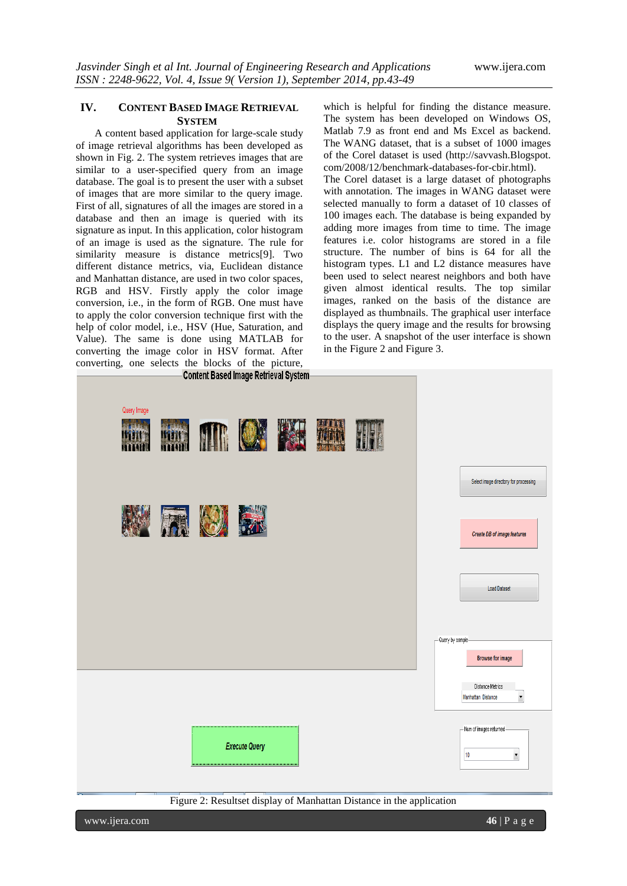# **IV. CONTENT BASED IMAGE RETRIEVAL SYSTEM**

A content based application for large-scale study of image retrieval algorithms has been developed as shown in Fig. 2. The system retrieves images that are similar to a user-specified query from an image database. The goal is to present the user with a subset of images that are more similar to the query image. First of all, signatures of all the images are stored in a database and then an image is queried with its signature as input. In this application, color histogram of an image is used as the signature. The rule for similarity measure is distance metrics[9]. Two different distance metrics, via, Euclidean distance and Manhattan distance, are used in two color spaces, RGB and HSV. Firstly apply the color image conversion, i.e., in the form of RGB. One must have to apply the color conversion technique first with the help of color model, i.e., HSV (Hue, Saturation, and Value). The same is done using MATLAB for converting the image color in HSV format. After converting, one selects the blocks of the picture,

which is helpful for finding the distance measure. The system has been developed on Windows OS, Matlab 7.9 as front end and Ms Excel as backend. The WANG dataset, that is a subset of 1000 images of the Corel dataset is used (http://savvash.Blogspot. com/2008/12/benchmark-databases-for-cbir.html).

The Corel dataset is a large dataset of photographs with annotation. The images in WANG dataset were selected manually to form a dataset of 10 classes of 100 images each. The database is being expanded by adding more images from time to time. The image features i.e. color histograms are stored in a file structure. The number of bins is 64 for all the histogram types. L1 and L2 distance measures have been used to select nearest neighbors and both have given almost identical results. The top similar images, ranked on the basis of the distance are displayed as thumbnails. The graphical user interface displays the query image and the results for browsing to the user. A snapshot of the user interface is shown in the Figure 2 and Figure 3.



www.ijera.com **46** | P a g e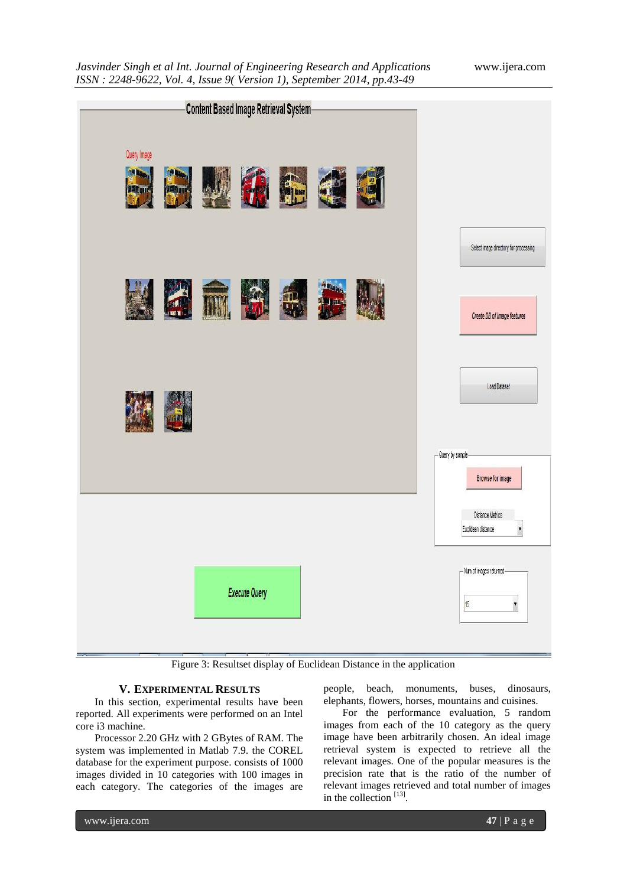|                                                                           | <b>Content Based Image Retrieval System-</b> |                                                                             |
|---------------------------------------------------------------------------|----------------------------------------------|-----------------------------------------------------------------------------|
| Query Image<br><b>MAIN</b><br><b>THE MANY</b><br><b>SER SER</b><br>12 Tas | <b>BLAN</b><br><b>Will then</b>              |                                                                             |
| 幽想                                                                        | <b>PERSONAL</b><br><b>Di Majarmano</b>       | Select image directory for processing<br><b>Create DB of image features</b> |
|                                                                           |                                              | Load Dataset<br>- Query by sample-<br>Browse for image                      |
|                                                                           |                                              | Distance Metrics<br>Euclidean distance<br>$\overline{\phantom{a}}$          |
|                                                                           | <b>Execute Query</b>                         | -Num of images returned-<br>15<br>$\blacktriangledown$                      |

Figure 3: Resultset display of Euclidean Distance in the application

## **V. EXPERIMENTAL RESULTS**

In this section, experimental results have been reported. All experiments were performed on an Intel core i3 machine.

Processor 2.20 GHz with 2 GBytes of RAM. The system was implemented in Matlab 7.9. the COREL database for the experiment purpose. consists of 1000 images divided in 10 categories with 100 images in each category. The categories of the images are

people, beach, monuments, buses, dinosaurs, elephants, flowers, horses, mountains and cuisines.

For the performance evaluation, 5 random images from each of the 10 category as the query image have been arbitrarily chosen. An ideal image retrieval system is expected to retrieve all the relevant images. One of the popular measures is the precision rate that is the ratio of the number of relevant images retrieved and total number of images in the collection [13].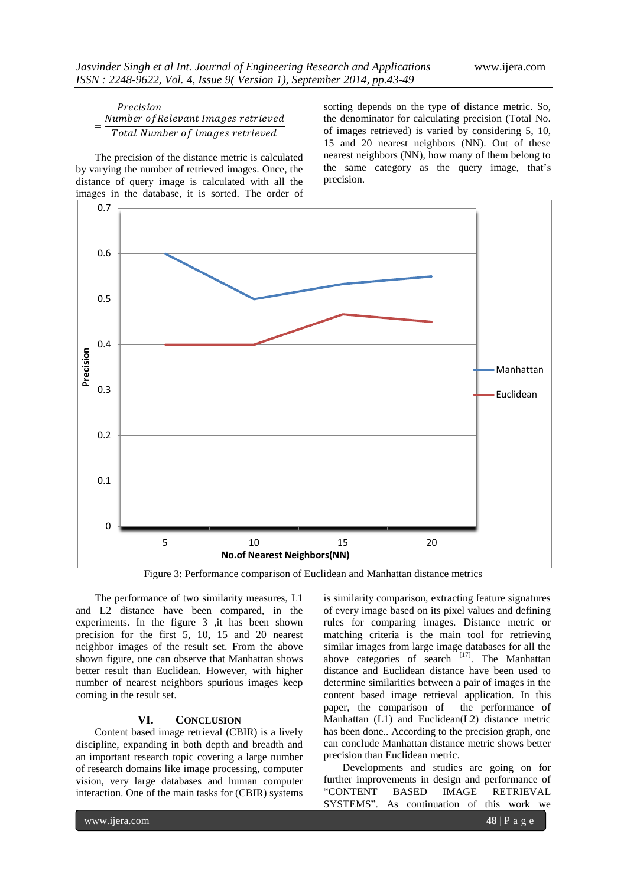#### Precision = Number of Relevant Images retrieved Total Number of images retrieved

The precision of the distance metric is calculated by varying the number of retrieved images. Once, the distance of query image is calculated with all the images in the database, it is sorted. The order of sorting depends on the type of distance metric. So, the denominator for calculating precision (Total No. of images retrieved) is varied by considering 5, 10, 15 and 20 nearest neighbors (NN). Out of these nearest neighbors (NN), how many of them belong to the same category as the query image, that"s precision.



Figure 3: Performance comparison of Euclidean and Manhattan distance metrics

The performance of two similarity measures, L1 and L2 distance have been compared, in the experiments. In the figure 3 ,it has been shown precision for the first 5, 10, 15 and 20 nearest neighbor images of the result set. From the above shown figure, one can observe that Manhattan shows better result than Euclidean. However, with higher number of nearest neighbors spurious images keep coming in the result set.

# **VI. CONCLUSION**

Content based image retrieval (CBIR) is a lively discipline, expanding in both depth and breadth and an important research topic covering a large number of research domains like image processing, computer vision, very large databases and human computer interaction. One of the main tasks for (CBIR) systems is similarity comparison, extracting feature signatures of every image based on its pixel values and defining rules for comparing images. Distance metric or matching criteria is the main tool for retrieving similar images from large image databases for all the above categories of search  $[17]$ . The Manhattan distance and Euclidean distance have been used to determine similarities between a pair of images in the content based image retrieval application. In this paper, the comparison of the performance of Manhattan (L1) and Euclidean(L2) distance metric has been done.. According to the precision graph, one can conclude Manhattan distance metric shows better precision than Euclidean metric.

Developments and studies are going on for further improvements in design and performance of "CONTENT BASED IMAGE RETRIEVAL SYSTEMS". As continuation of this work we